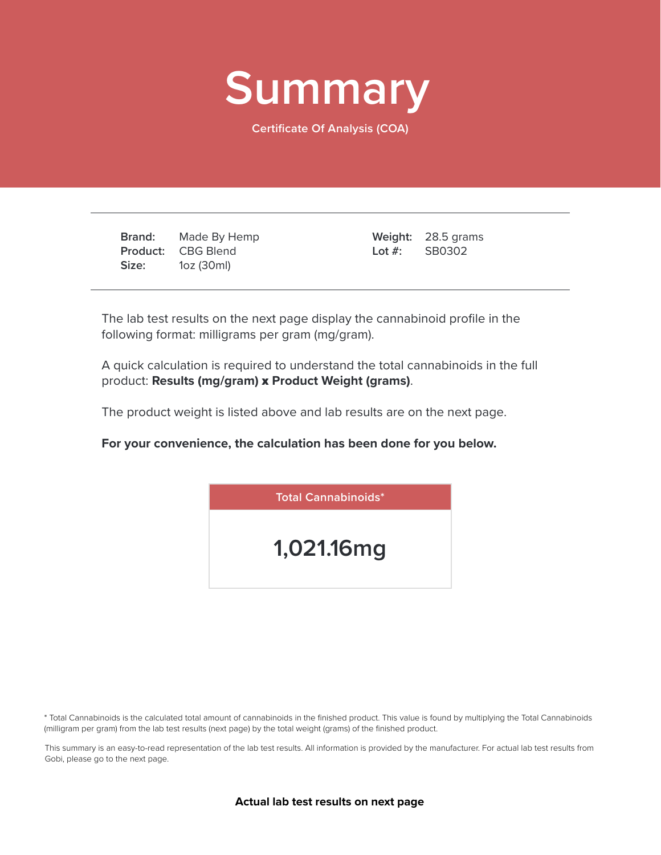

**Certificate Of Analysis (COA)**

**Brand: Product:** CBG Blend **Size:** Made By Hemp 1oz (30ml)

28.5 grams **Weight:** SB0302 **Lot #:**

The lab test results on the next page display the cannabinoid profile in the following format: milligrams per gram (mg/gram).

A quick calculation is required to understand the total cannabinoids in the full product: **Results (mg/gram)** x **Product Weight (grams)**.

The product weight is listed above and lab results are on the next page.

**For your convenience, the calculation has been done for you below.**



\* Total Cannabinoids is the calculated total amount of cannabinoids in the finished product. This value is found by multiplying the Total Cannabinoids (milligram per gram) from the lab test results (next page) by the total weight (grams) of the finished product.

This summary is an easy-to-read representation of the lab test results. All information is provided by the manufacturer. For actual lab test results from Gobi, please go to the next page.